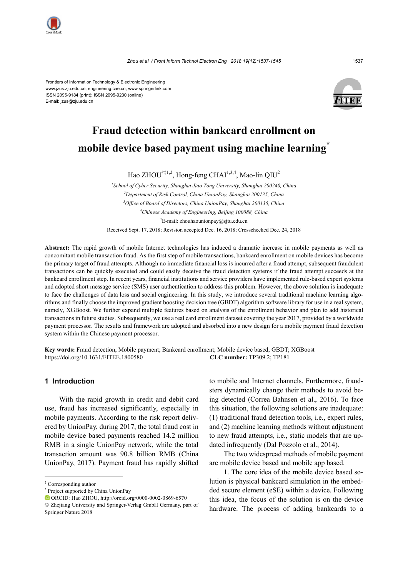

Frontiers of Information Technology & Electronic Engineering www.jzus.zju.edu.cn; engineering.cae.cn; www.springerlink.com ISSN 2095-9184 (print); ISSN 2095-9230 (online) E-mail: jzus@zju.edu.cn



# **Fraud detection within bankcard enrollment on mobile device based payment using machine learning\***

Hao ZHOU<sup>†‡1,2</sup>, Hong-feng CHAI<sup>1,3,4</sup>, Mao-lin QIU<sup>2</sup>

<sup>1</sup> School of Cyber Security, Shanghai Jiao Tong University, Shanghai 200240, China *2 Department of Risk Control, China UnionPay, Shanghai 200135, China 3 Office of Board of Directors, China UnionPay, Shanghai 200135, China 4 Chinese Academy of Engineering, Beijing 100088, China* † E-mail: zhouhaounionpay@sjtu.edu.cn Received Sept. 17, 2018; Revision accepted Dec. 16, 2018; Crosschecked Dec. 24, 2018

**Abstract:** The rapid growth of mobile Internet technologies has induced a dramatic increase in mobile payments as well as concomitant mobile transaction fraud. As the first step of mobile transactions, bankcard enrollment on mobile devices has become the primary target of fraud attempts. Although no immediate financial loss is incurred after a fraud attempt, subsequent fraudulent transactions can be quickly executed and could easily deceive the fraud detection systems if the fraud attempt succeeds at the bankcard enrollment step. In recent years, financial institutions and service providers have implemented rule-based expert systems and adopted short message service (SMS) user authentication to address this problem. However, the above solution is inadequate to face the challenges of data loss and social engineering. In this study, we introduce several traditional machine learning algorithms and finally choose the improved gradient boosting decision tree (GBDT) algorithm software library for use in a real system, namely, XGBoost. We further expand multiple features based on analysis of the enrollment behavior and plan to add historical transactions in future studies. Subsequently, we use a real card enrollment dataset covering the year 2017, provided by a worldwide payment processor. The results and framework are adopted and absorbed into a new design for a mobile payment fraud detection system within the Chinese payment processor.

**Key words:** Fraud detection; Mobile payment; Bankcard enrollment; Mobile device based; GBDT; XGBoost https://doi.org/10.1631/FITEE.1800580 **CLC number:** TP309.2; TP181

#### **1 Introduction**

With the rapid growth in credit and debit card use, fraud has increased significantly, especially in mobile payments. According to the risk report delivered by UnionPay, during 2017, the total fraud cost in mobile device based payments reached 14.2 million RMB in a single UnionPay network, while the total transaction amount was 90.8 billion RMB (China UnionPay, 2017). Payment fraud has rapidly shifted to mobile and Internet channels. Furthermore, fraudsters dynamically change their methods to avoid being detected (Correa Bahnsen et al., 2016). To face this situation, the following solutions are inadequate: (1) traditional fraud detection tools, i.e., expert rules, and (2) machine learning methods without adjustment to new fraud attempts, i.e., static models that are updated infrequently (Dal Pozzolo et al., 2014).

The two widespread methods of mobile payment are mobile device based and mobile app based.

1. The core idea of the mobile device based solution is physical bankcard simulation in the embedded secure element (eSE) within a device. Following this idea, the focus of the solution is on the device hardware. The process of adding bankcards to a

<sup>‡</sup> Corresponding author

<sup>\*</sup> Project supported by China UnionPay

ORCID: Hao ZHOU, http://orcid.org/0000-0002-0869-6570 © Zhejiang University and Springer-Verlag GmbH Germany, part of Springer Nature 2018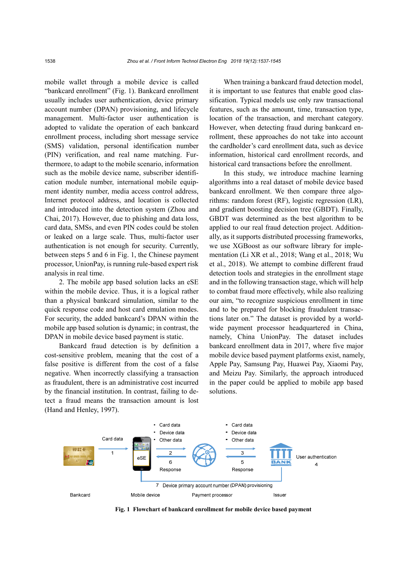mobile wallet through a mobile device is called "bankcard enrollment" (Fig. 1). Bankcard enrollment usually includes user authentication, device primary account number (DPAN) provisioning, and lifecycle management. Multi-factor user authentication is adopted to validate the operation of each bankcard enrollment process, including short message service (SMS) validation, personal identification number (PIN) verification, and real name matching. Furthermore, to adapt to the mobile scenario, information such as the mobile device name, subscriber identification module number, international mobile equipment identity number, media access control address, Internet protocol address, and location is collected and introduced into the detection system (Zhou and Chai, 2017). However, due to phishing and data loss, card data, SMSs, and even PIN codes could be stolen or leaked on a large scale. Thus, multi-factor user authentication is not enough for security. Currently, between steps 5 and 6 in Fig. 1, the Chinese payment processor, UnionPay, is running rule-based expert risk analysis in real time.

2. The mobile app based solution lacks an eSE within the mobile device. Thus, it is a logical rather than a physical bankcard simulation, similar to the quick response code and host card emulation modes. For security, the added bankcard's DPAN within the mobile app based solution is dynamic; in contrast, the DPAN in mobile device based payment is static.

Bankcard fraud detection is by definition a cost-sensitive problem, meaning that the cost of a false positive is different from the cost of a false negative. When incorrectly classifying a transaction as fraudulent, there is an administrative cost incurred by the financial institution. In contrast, failing to detect a fraud means the transaction amount is lost (Hand and Henley, 1997).

When training a bankcard fraud detection model, it is important to use features that enable good classification. Typical models use only raw transactional features, such as the amount, time, transaction type, location of the transaction, and merchant category. However, when detecting fraud during bankcard enrollment, these approaches do not take into account the cardholder's card enrollment data, such as device information, historical card enrollment records, and historical card transactions before the enrollment.

In this study, we introduce machine learning algorithms into a real dataset of mobile device based bankcard enrollment. We then compare three algorithms: random forest (RF), logistic regression (LR), and gradient boosting decision tree (GBDT). Finally, GBDT was determined as the best algorithm to be applied to our real fraud detection project. Additionally, as it supports distributed processing frameworks, we use XGBoost as our software library for implementation (Li XR et al., 2018; Wang et al., 2018; Wu et al., 2018). We attempt to combine different fraud detection tools and strategies in the enrollment stage and in the following transaction stage, which will help to combat fraud more effectively, while also realizing our aim, "to recognize suspicious enrollment in time and to be prepared for blocking fraudulent transactions later on." The dataset is provided by a worldwide payment processor headquartered in China, namely, China UnionPay. The dataset includes bankcard enrollment data in 2017, where five major mobile device based payment platforms exist, namely, Apple Pay, Samsung Pay, Huawei Pay, Xiaomi Pay, and Meizu Pay. Similarly, the approach introduced in the paper could be applied to mobile app based solutions.



**Fig. 1 Flowchart of bankcard enrollment for mobile device based payment**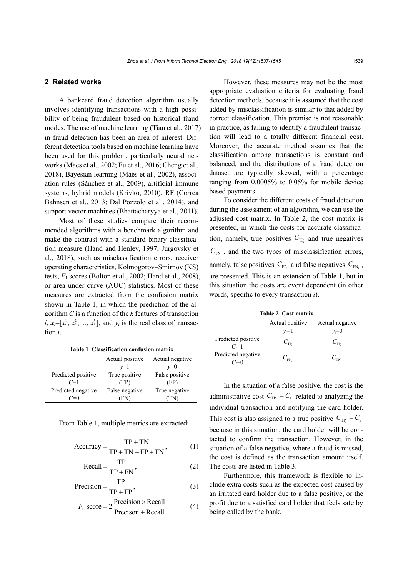## **2 Related works**

A bankcard fraud detection algorithm usually involves identifying transactions with a high possibility of being fraudulent based on historical fraud modes. The use of machine learning (Tian et al., 2017) in fraud detection has been an area of interest. Different detection tools based on machine learning have been used for this problem, particularly neural networks (Maes et al., 2002; Fu et al., 2016; Cheng et al., 2018), Bayesian learning (Maes et al., 2002), association rules (Sánchez et al., 2009), artificial immune systems, hybrid models (Krivko, 2010), RF (Correa Bahnsen et al., 2013; Dal Pozzolo et al., 2014), and support vector machines (Bhattacharyya et al., 2011).

Most of these studies compare their recommended algorithms with a benchmark algorithm and make the contrast with a standard binary classification measure (Hand and Henley, 1997; Jurgovsky et al., 2018), such as misclassification errors, receiver operating characteristics, Kolmogorov–Smirnov (KS) tests,  $F_1$  scores (Bolton et al., 2002; Hand et al., 2008), or area under curve (AUC) statistics. Most of these measures are extracted from the confusion matrix shown in Table 1, in which the prediction of the algorithm *C* is a function of the *k* features of transaction  $i, x_i = [x_i^1, x_i^2, ..., x_i^k]$ , and  $y_i$  is the real class of transaction *i*.

| Table 1 Classification confusion matrix |  |
|-----------------------------------------|--|
|                                         |  |

|                    | Actual positive | Actual negative |
|--------------------|-----------------|-----------------|
|                    | $\nu=1$         | $v=0$           |
| Predicted positive | True positive   | False positive  |
| $C=1$              | (TP)            | (FP)            |
| Predicted negative | False negative  | True negative   |
|                    | (FN)            | TN)             |

From Table 1, multiple metrics are extracted:

$$
Accuracy = \frac{TP + TN}{TP + TN + FP + FN},
$$
 (1)

$$
Recall = \frac{TP}{TP + FN},
$$
 (2)

$$
Precision = \frac{TP}{TP + FP},
$$
 (3)

$$
F_1 \text{ score} = 2 \frac{\text{Precision} \times \text{Recall}}{\text{Precision} + \text{Recall}}.
$$
 (4)

However, these measures may not be the most appropriate evaluation criteria for evaluating fraud detection methods, because it is assumed that the cost added by misclassification is similar to that added by correct classification. This premise is not reasonable in practice, as failing to identify a fraudulent transaction will lead to a totally different financial cost. Moreover, the accurate method assumes that the classification among transactions is constant and balanced, and the distributions of a fraud detection dataset are typically skewed, with a percentage ranging from 0.0005% to 0.05% for mobile device based payments.

To consider the different costs of fraud detection during the assessment of an algorithm, we can use the adjusted cost matrix. In Table 2, the cost matrix is presented, in which the costs for accurate classification, namely, true positives  $C_{TP_i}$  and true negatives  $C_{\text{TN}}$ , and the two types of misclassification errors, namely, false positives  $C_{\text{FP}_i}$  and false negatives  $C_{\text{FN}_i}$ , are presented. This is an extension of Table 1, but in this situation the costs are event dependent (in other words, specific to every transaction *i*).

| <b>Table 2 Cost matrix</b> |  |  |
|----------------------------|--|--|
|----------------------------|--|--|

|                             | Actual positive<br>$v_i = 1$ | Actual negative<br>$v=0$ |
|-----------------------------|------------------------------|--------------------------|
| Predicted positive<br>$C=1$ | $C_{\mathrm{TP}_i}$          | $C_{\text{FP}}$          |
| Predicted negative<br>$C=0$ | $C_{\text{FN}}$              | $C_{\text{TN}}$          |

In the situation of a false positive, the cost is the administrative cost  $C_{\text{FP}} = C_a$  related to analyzing the individual transaction and notifying the card holder. This cost is also assigned to a true positive  $C_{TP_i} = C_a$ because in this situation, the card holder will be contacted to confirm the transaction. However, in the situation of a false negative, where a fraud is missed, the cost is defined as the transaction amount itself. The costs are listed in Table 3.

Furthermore, this framework is flexible to include extra costs such as the expected cost caused by an irritated card holder due to a false positive, or the profit due to a satisfied card holder that feels safe by being called by the bank.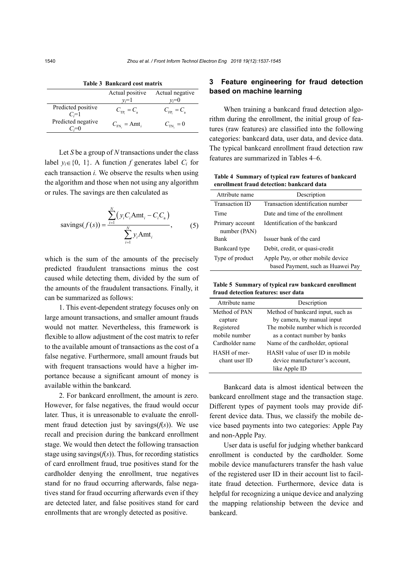| <b>Table 3 Bankcard cost matrix</b> |                                  |                                  |  |  |  |
|-------------------------------------|----------------------------------|----------------------------------|--|--|--|
|                                     | Actual positive                  | Actual negative                  |  |  |  |
|                                     | $v=1$                            |                                  |  |  |  |
| Predicted positive<br>$C=1$         | $C_{\text{TP}_i} = C_{\text{a}}$ | $C_{\text{FP}_i} = C_{\text{a}}$ |  |  |  |
| Predicted negative<br>$C=0$         | $C_{\text{FN}_i} = \text{Amt}_i$ | $C_{\text{TN}_i} = 0$            |  |  |  |

Let *S* be a group of *N* transactions under the class label  $y_i \in \{0, 1\}$ . A function *f* generates label  $C_i$  for each transaction *i.* We observe the results when using the algorithm and those when not using any algorithm or rules. The savings are then calculated as

savings
$$
(f(s)) = \frac{\sum_{i=1}^{N} (y_i C_i A m t_i - C_i C_a)}{\sum_{i=1}^{N} y_i A m t_i},
$$
 (5)

which is the sum of the amounts of the precisely predicted fraudulent transactions minus the cost caused while detecting them, divided by the sum of the amounts of the fraudulent transactions. Finally, it can be summarized as follows:

1. This event-dependent strategy focuses only on large amount transactions, and smaller amount frauds would not matter. Nevertheless, this framework is flexible to allow adjustment of the cost matrix to refer to the available amount of transactions as the cost of a false negative. Furthermore, small amount frauds but with frequent transactions would have a higher importance because a significant amount of money is available within the bankcard.

2. For bankcard enrollment, the amount is zero. However, for false negatives, the fraud would occur later. Thus, it is unreasonable to evaluate the enrollment fraud detection just by savings $(f(s))$ . We use recall and precision during the bankcard enrollment stage. We would then detect the following transaction stage using savings $(f(s))$ . Thus, for recording statistics of card enrollment fraud, true positives stand for the cardholder denying the enrollment, true negatives stand for no fraud occurring afterwards, false negatives stand for fraud occurring afterwards even if they are detected later, and false positives stand for card enrollments that are wrongly detected as positive.

## **3 Feature engineering for fraud detection based on machine learning**

When training a bankcard fraud detection algorithm during the enrollment, the initial group of features (raw features) are classified into the following categories: bankcard data, user data, and device data. The typical bankcard enrollment fraud detection raw features are summarized in Tables 4–6.

**Table 4 Summary of typical raw features of bankcard enrollment fraud detection: bankcard data** 

| Attribute name                  | Description                                                            |
|---------------------------------|------------------------------------------------------------------------|
| Transaction ID                  | Transaction identification number                                      |
| Time                            | Date and time of the enrollment                                        |
| Primary account<br>number (PAN) | Identification of the bankcard                                         |
| Bank                            | Issuer bank of the card                                                |
| Bankcard type                   | Debit, credit, or quasi-credit                                         |
| Type of product                 | Apple Pay, or other mobile device<br>based Payment, such as Huawei Pay |

**Table 5 Summary of typical raw bankcard enrollment fraud detection features: user data** 

| Attribute name  | Description                         |
|-----------------|-------------------------------------|
| Method of PAN   | Method of bankcard input, such as   |
| capture         | by camera, by manual input          |
| Registered      | The mobile number which is recorded |
| mobile number   | as a contact number by banks        |
| Cardholder name | Name of the cardholder, optional    |
| HASH of mer-    | HASH value of user ID in mobile     |
| chant user ID   | device manufacturer's account.      |
|                 | like Apple ID                       |

Bankcard data is almost identical between the bankcard enrollment stage and the transaction stage. Different types of payment tools may provide different device data. Thus, we classify the mobile device based payments into two categories: Apple Pay and non-Apple Pay.

User data is useful for judging whether bankcard enrollment is conducted by the cardholder. Some mobile device manufacturers transfer the hash value of the registered user ID in their account list to facilitate fraud detection. Furthermore, device data is helpful for recognizing a unique device and analyzing the mapping relationship between the device and bankcard.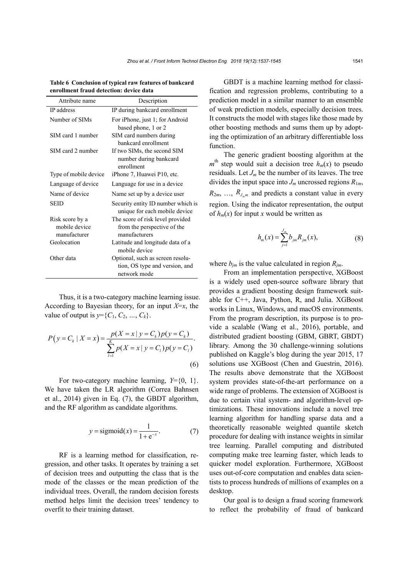**Table 6 Conclusion of typical raw features of bankcard enrollment fraud detection: device data** 

| Attribute name        | Description                                    |
|-----------------------|------------------------------------------------|
| IP address            | IP during bankcard enrollment                  |
| Number of SIMs        | For iPhone, just 1; for Android                |
|                       | based phone, 1 or 2                            |
| SIM card 1 number     | SIM card numbers during<br>bankcard enrollment |
| SIM card 2 number     | If two SIMs, the second SIM                    |
|                       | number during bankcard                         |
|                       | enrollment                                     |
| Type of mobile device | iPhone 7, Huawei P10, etc.                     |
| Language of device    | Language for use in a device                   |
| Name of device        | Name set up by a device user                   |
| <b>SEID</b>           | Security entity ID number which is             |
|                       | unique for each mobile device                  |
| Risk score by a       | The score of risk level provided               |
| mobile device         | from the perspective of the                    |
| manufacturer          | manufacturers                                  |
| Geolocation           | Latitude and longitude data of a               |
|                       | mobile device                                  |
| Other data            | Optional, such as screen resolu-               |
|                       | tion, OS type and version, and                 |
|                       | network mode                                   |

Thus, it is a two-category machine learning issue. According to Bayesian theory, for an input  $X=x$ , the value of output is  $y = \{C_1, C_2, ..., C_k\}.$ 

$$
P(y = C_k | X = x) = \frac{p(X = x | y = C_k) p(y = C_k)}{\sum_{l=1}^{K} p(X = x | y = C_l) p(y = C_l)}.
$$
\n(6)

For two-category machine learning,  $Y=$ {0, 1}. We have taken the LR algorithm (Correa Bahnsen et al., 2014) given in Eq. (7), the GBDT algorithm, and the RF algorithm as candidate algorithms.

$$
y = \text{sigmoid}(x) = \frac{1}{1 + e^{-x}}.
$$
 (7)

RF is a learning method for classification, regression, and other tasks. It operates by training a set of decision trees and outputting the class that is the mode of the classes or the mean prediction of the individual trees. Overall, the random decision forests method helps limit the decision trees' tendency to overfit to their training dataset.

GBDT is a machine learning method for classification and regression problems, contributing to a prediction model in a similar manner to an ensemble of weak prediction models, especially decision trees. It constructs the model with stages like those made by other boosting methods and sums them up by adopting the optimization of an arbitrary differentiable loss function.

The generic gradient boosting algorithm at the  $m<sup>th</sup>$  step would suit a decision tree  $h_m(x)$  to pseudo residuals. Let *Jm* be the number of its leaves. The tree divides the input space into  $J_m$  uncrossed regions  $R_{1m}$ ,  $R_{2m}$ , ...,  $R_{J_{m}}$  and predicts a constant value in every region. Using the indicator representation, the output of  $h_m(x)$  for input *x* would be written as

$$
h_m(x) = \sum_{j=1}^{J_m} b_{jm} R_{jm}(x),
$$
 (8)

where  $b_{jm}$  is the value calculated in region  $R_{jm}$ .

From an implementation perspective, XGBoost is a widely used open-source software library that provides a gradient boosting design framework suitable for C++, Java, Python, R, and Julia. XGBoost works in Linux, Windows, and macOS environments. From the program description, its purpose is to provide a scalable (Wang et al., 2016), portable, and distributed gradient boosting (GBM, GBRT, GBDT) library. Among the 30 challenge-winning solutions published on Kaggle's blog during the year 2015, 17 solutions use XGBoost (Chen and Guestrin, 2016). The results above demonstrate that the XGBoost system provides state-of-the-art performance on a wide range of problems. The extension of XGBoost is due to certain vital system- and algorithm-level optimizations. These innovations include a novel tree learning algorithm for handling sparse data and a theoretically reasonable weighted quantile sketch procedure for dealing with instance weights in similar tree learning. Parallel computing and distributed computing make tree learning faster, which leads to quicker model exploration. Furthermore, XGBoost uses out-of-core computation and enables data scientists to process hundreds of millions of examples on a desktop.

Our goal is to design a fraud scoring framework to reflect the probability of fraud of bankcard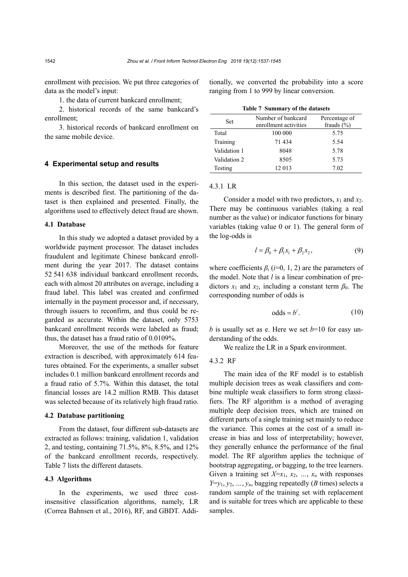enrollment with precision. We put three categories of data as the model's input:

1. the data of current bankcard enrollment;

2. historical records of the same bankcard's enrollment;

3. historical records of bankcard enrollment on the same mobile device.

#### **4 Experimental setup and results**

In this section, the dataset used in the experiments is described first. The partitioning of the dataset is then explained and presented. Finally, the algorithms used to effectively detect fraud are shown.

### **4.1 Database**

In this study we adopted a dataset provided by a worldwide payment processor. The dataset includes fraudulent and legitimate Chinese bankcard enrollment during the year 2017. The dataset contains 52 541 638 individual bankcard enrollment records, each with almost 20 attributes on average, including a fraud label. This label was created and confirmed internally in the payment processor and, if necessary, through issuers to reconfirm, and thus could be regarded as accurate. Within the dataset, only 5753 bankcard enrollment records were labeled as fraud; thus, the dataset has a fraud ratio of 0.0109%.

Moreover, the use of the methods for feature extraction is described, with approximately 614 features obtained. For the experiments, a smaller subset includes 0.1 million bankcard enrollment records and a fraud ratio of 5.7%. Within this dataset, the total financial losses are 14.2 million RMB. This dataset was selected because of its relatively high fraud ratio.

#### **4.2 Database partitioning**

From the dataset, four different sub-datasets are extracted as follows: training, validation 1, validation 2, and testing, containing 71.5%, 8%, 8.5%, and 12% of the bankcard enrollment records, respectively. Table 7 lists the different datasets.

#### **4.3 Algorithms**

In the experiments, we used three costinsensitive classification algorithms, namely, LR (Correa Bahnsen et al., 2016), RF, and GBDT. Additionally, we converted the probability into a score ranging from 1 to 999 by linear conversion.

| <b>Table 7 Summary of the datasets</b> |                                             |                                 |  |  |  |
|----------------------------------------|---------------------------------------------|---------------------------------|--|--|--|
| <b>Set</b>                             | Number of bankcard<br>enrollment activities | Percentage of<br>frauds $(\% )$ |  |  |  |
| Total                                  | 100 000                                     | 5.75                            |  |  |  |
| Training                               | 71 434                                      | 5.54                            |  |  |  |
| Validation 1                           | 8048                                        | 5.78                            |  |  |  |
| Validation 2                           | 8505                                        | 5.73                            |  |  |  |
| Testing                                | 12013                                       | 7.02                            |  |  |  |

#### 4.3.1 LR

Consider a model with two predictors, *x*1 and *x*2. There may be continuous variables (taking a real number as the value) or indicator functions for binary variables (taking value 0 or 1). The general form of the log-odds is

$$
l = \beta_0 + \beta_1 x_1 + \beta_2 x_2, \tag{9}
$$

where coefficients  $\beta_i$  (*i*=0, 1, 2) are the parameters of the model. Note that *l* is a linear combination of predictors  $x_1$  and  $x_2$ , including a constant term  $\beta_0$ . The corresponding number of odds is

$$
odds = b^l. \tag{10}
$$

*b* is usually set as e. Here we set *b*=10 for easy understanding of the odds.

We realize the LR in a Spark environment.

#### 4.3.2 RF

The main idea of the RF model is to establish multiple decision trees as weak classifiers and combine multiple weak classifiers to form strong classifiers. The RF algorithm is a method of averaging multiple deep decision trees, which are trained on different parts of a single training set mainly to reduce the variance. This comes at the cost of a small increase in bias and loss of interpretability; however, they generally enhance the performance of the final model. The RF algorithm applies the technique of bootstrap aggregating, or bagging, to the tree learners. Given a training set  $X=x_1, x_2, ..., x_n$  with responses  $Y=y_1, y_2, ..., y_n$ , bagging repeatedly (*B* times) selects a random sample of the training set with replacement and is suitable for trees which are applicable to these samples.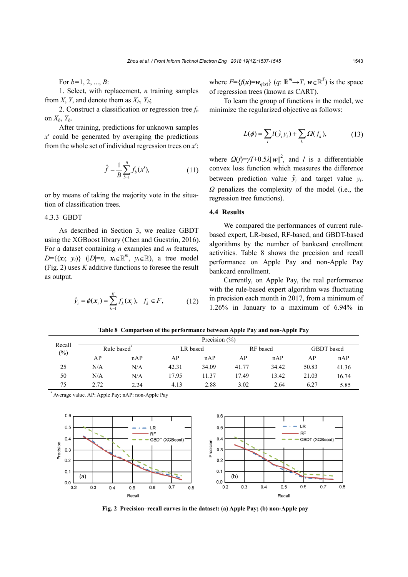For *b=*1, 2, ..., *B*:

1. Select, with replacement, *n* training samples from *X*, *Y*, and denote them as  $X_b$ ,  $Y_b$ ;

2. Construct a classification or regression tree  $f<sub>b</sub>$ on  $X_b$ ,  $Y_b$ .

After training, predictions for unknown samples *x*′ could be generated by averaging the predictions from the whole set of individual regression trees on *x*′:

$$
\hat{f} = \frac{1}{B} \sum_{b=1}^{B} f_b(x'),\tag{11}
$$

or by means of taking the majority vote in the situation of classification trees.

4.3.3 GBDT

As described in Section 3, we realize GBDT using the XGBoost library (Chen and Guestrin, 2016). For a dataset containing *n* examples and *m* features,  $D=\{(x_i, y_i)\}\$  ( $|D|=n$ ,  $x_i \in \mathbb{R}^m$ ,  $y_i \in \mathbb{R}$ ), a tree model (Fig. 2) uses *K* additive functions to foresee the result as output.

$$
\hat{y}_i = \phi(\mathbf{x}_i) = \sum_{k=1}^K f_k(\mathbf{x}_i), \quad f_k \in F,
$$
\n(12)

where  $F = \{f(x) = w_{q(x)}\}$  (*q*:  $\mathbb{R}^m \rightarrow T$ ,  $w \in \mathbb{R}^T$ ) is the space of regression trees (known as CART).

To learn the group of functions in the model, we minimize the regularized objective as follows:

$$
L(\phi) = \sum_{i} l(\hat{y}_i y_i) + \sum_{k} \Omega(f_k), \tag{13}
$$

where  $\Omega(f)=\gamma T+0.5\lambda \|\boldsymbol{w}\|^2$ , and *l* is a differentiable convex loss function which measures the difference between prediction value  $\hat{y}_i$  and target value  $y_i$ . *Ω* penalizes the complexity of the model (i.e., the regression tree functions).

#### **4.4 Results**

We compared the performances of current rulebased expert, LR-based, RF-based, and GBDT-based algorithms by the number of bankcard enrollment activities. Table 8 shows the precision and recall performance on Apple Pay and non-Apple Pay bankcard enrollment.

Currently, on Apple Pay, the real performance with the rule-based expert algorithm was fluctuating in precision each month in 2017, from a minimum of 1.26% in January to a maximum of 6.94% in

**Table 8 Comparison of the performance between Apple Pay and non-Apple Pay** 

| Recall<br>$\frac{0}{0}$ |                         |      |          | Precision $(\% )$ |          |       |            |       |
|-------------------------|-------------------------|------|----------|-------------------|----------|-------|------------|-------|
|                         | Rule based <sup>®</sup> |      | LR based |                   | RF based |       | GBDT based |       |
|                         | AР                      | nAP  | АP       | nAP               | АP       | nAP   | AР         | nAP   |
| 25                      | N/A                     | N/A  | 42.31    | 34.09             | 41.77    | 34.42 | 50.83      | 41.36 |
| 50                      | N/A                     | N/A  | 17.95    | 11.37             | 17.49    | 13.42 | 21.03      | 16.74 |
| 75                      | 2.72                    | 2.24 | 4.13     | 2.88              | 3.02     | 2.64  | 6.27       | 5.85  |

\* Average value. AP: Apple Pay; nAP: non-Apple Pay



**Fig. 2 Precision–recall curves in the dataset: (a) Apple Pay; (b) non-Apple pay**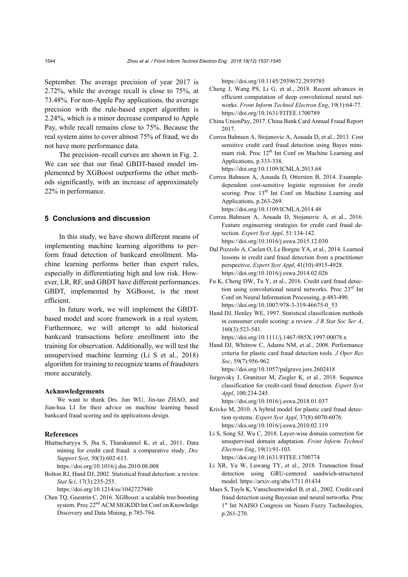September. The average precision of year 2017 is 2.72%, while the average recall is close to 75%, at 73.48%. For non-Apple Pay applications, the average precision with the rule-based expert algorithm is 2.24%, which is a minor decrease compared to Apple Pay, while recall remains close to 75%. Because the real system aims to cover almost 75% of fraud, we do not have more performance data.

The precision–recall curves are shown in Fig. 2. We can see that our final GBDT-based model implemented by XGBoost outperforms the other methods significantly, with an increase of approximately 22% in performance.

#### **5 Conclusions and discussion**

In this study, we have shown different means of implementing machine learning algorithms to perform fraud detection of bankcard enrollment. Machine learning performs better than expert rules, especially in differentiating high and low risk. However, LR, RF, and GBDT have different performances. GBDT, implemented by XGBoost, is the most efficient.

In future work, we will implement the GBDTbased model and score framework in a real system. Furthermore, we will attempt to add historical bankcard transactions before enrollment into the training for observation. Additionally, we will test the unsupervised machine learning (Li S et al., 2018) algorithm for training to recognize teams of fraudsters more accurately.

#### **Acknowledgements**

We want to thank Drs. Jun WU, Jin-tao ZHAO, and Jian-hua LI for their advice on machine learning based bankcard fraud scoring and its applications design.

#### **References**

Bhattacharyya S, Jha S, Tharakunnel K, et al., 2011. Data mining for credit card fraud: a comparative study. *Dec Support Syst*, 50(3):602-613.

https://doi.org/10.1016/j.dss.2010.08.008

Bolton RJ, Hand DJ, 2002. Statistical fraud detection: a review. *Stat Sci*, 17(3):235-255.

https://doi.org/10.1214/ss/1042727940

Chen TQ, Guestrin C, 2016. XGBoost: a scalable tree boosting system. Proc 22<sup>nd</sup> ACM SIGKDD Int Conf on Knowledge Discovery and Data Mining, p.785-794.

https://doi.org/10.1145/2939672.2939785

- Cheng J, Wang PS, Li G, et al., 2018. Recent advances in efficient computation of deep convolutional neural networks. *Front Inform Technol Electron Eng*, 19(1):64-77. https://doi.org/10.1631/FITEE.1700789
- China UnionPay, 2017. China Bank Card Annual Fraud Report 2017.
- Correa Bahnsen A, Stojanovic A, Aouada D, et al., 2013. Cost sensitive credit card fraud detection using Bayes minimum risk. Proc  $12<sup>th</sup>$  Int Conf on Machine Learning and Applications, p.333-338. https://doi.org/10.1109/ICMLA.2013.68
- Correa Bahnsen A, Aouada D, Ottersten B, 2014. Exampledependent cost-sensitive logistic regression for credit scoring. Proc  $13<sup>th</sup>$  Int Conf on Machine Learning and Applications, p.263-269. https://doi.org/10.1109/ICMLA.2014.48
- Correa Bahnsen A, Aouada D, Stojanovic A, et al., 2016. Feature engineering strategies for credit card fraud detection. *Expert Syst Appl*, 51:134-142. https://doi.org/10.1016/j.eswa.2015.12.030
- Dal Pozzolo A, Caelen O, Le Borgne YA, et al., 2014. Learned lessons in credit card fraud detection from a practitioner perspective. *Expert Syst Appl*, 41(10):4915-4928. https://doi.org/10.1016/j.eswa.2014.02.026
- Fu K, Cheng DW, Tu Y, et al., 2016. Credit card fraud detection using convolutional neural networks. Proc  $23<sup>rd</sup>$  Int Conf on Neural Information Processing, p.483-490. https://doi.org/10.1007/978-3-319-46675-0\_53
- Hand DJ, Henley WE, 1997. Statistical classification methods in consumer credit scoring: a review. *J R Stat Soc Ser A*, 160(3):523-541. https://doi.org/10.1111/j.1467-985X.1997.00078.x
- Hand DJ, Whitrow C, Adams NM, et al., 2008. Performance criteria for plastic card fraud detection tools. *J Oper Res Soc*, 59(7):956-962.

https://doi.org/10.1057/palgrave.jors.2602418

Jurgovsky J, Granitzer M, Ziegler K, et al., 2018. Sequence classification for credit-card fraud detection. *Expert Syst Appl*, 100:234-245.

https://doi.org/10.1016/j.eswa.2018.01.037

- Krivko M, 2010. A hybrid model for plastic card fraud detection systems. *Expert Syst Appl*, 37(8):6070-6076. https://doi.org/10.1016/j.eswa.2010.02.119
- Li S, Song SJ, Wu C, 2018. Layer-wise domain correction for unsupervised domain adaptation. *Front Inform Technol Electron Eng*, 19(1):91-103. https://doi.org/10.1631/FITEE.1700774
- Li XR, Yu W, Luwang TY, et al., 2018. Transaction fraud detection using GRU-centered sandwich-structured model. https://arxiv.org/abs/1711.01434
- Maes S, Tuyls K, Vanschoenwinkel B, et al., 2002. Credit card fraud detection using Bayesian and neural networks. Proc 1<sup>st</sup> Int NAISO Congress on Neuro Fuzzy Technologies, p.261-270.